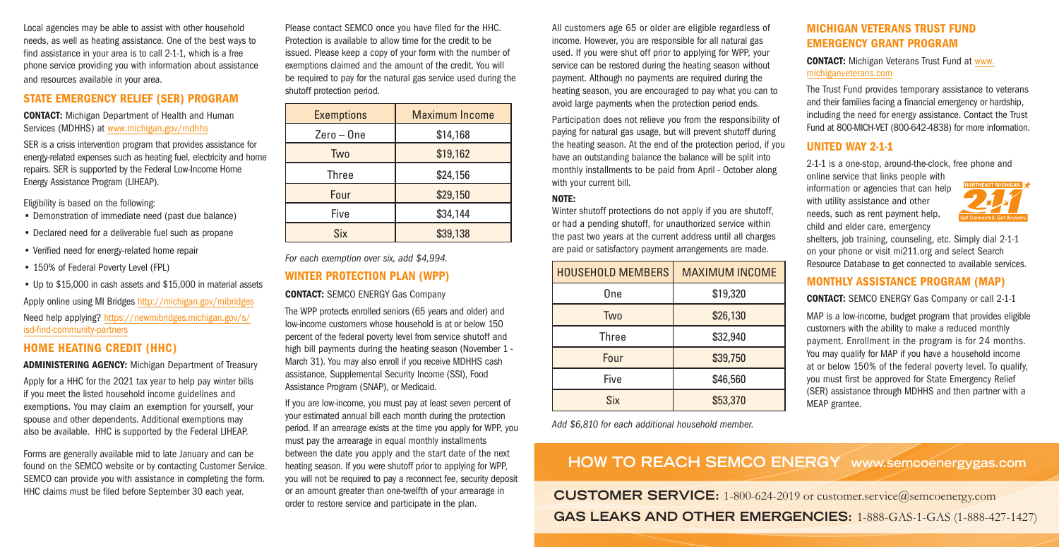Local agencies may be able to assist with other household needs, as well as heating assistance. One of the best ways to find assistance in your area is to call 2-1-1, which is a free phone service providing you with information about assistance and resources available in your area.

### STATE EMERGENCY RELIEF (SER) PROGRAM

CONTACT: Michigan Department of Health and Human Services (MDHHS) at www.michigan.gov/mdhhs

SER is a crisis intervention program that provides assistance for energy-related expenses such as heating fuel, electricity and home repairs. SER is supported by the Federal Low-Income Home Energy Assistance Program (LIHEAP).

Eligibility is based on the following:

- Demonstration of immediate need (past due balance)
- Declared need for a deliverable fuel such as propane
- Verified need for energy-related home repair
- 150% of Federal Poverty Level (FPL)
- Up to \$15,000 in cash assets and \$15,000 in material assets

Apply online using MI Bridges http://michigan.gov/mibridges Need help applying? https://newmibridges.michigan.gov/s/ isd-find-community-partners

# HOME HEATING CREDIT (HHC)

ADMINISTERING AGENCY: Michigan Department of Treasury

Apply for a HHC for the 2021 tax year to help pay winter bills if you meet the listed household income guidelines and exemptions. You may claim an exemption for yourself, your spouse and other dependents. Additional exemptions may also be available. HHC is supported by the Federal LIHEAP.

Forms are generally available mid to late January and can be found on the SEMCO website or by contacting Customer Service. SEMCO can provide you with assistance in completing the form. HHC claims must be filed before September 30 each year.

Please contact SEMCO once you have filed for the HHC. Protection is available to allow time for the credit to be issued. Please keep a copy of your form with the number of exemptions claimed and the amount of the credit. You will be required to pay for the natural gas service used during the shutoff protection period.

| <b>Exemptions</b> | <b>Maximum Income</b> |
|-------------------|-----------------------|
| $Zero - One$      | \$14,168              |
| <b>Two</b>        | \$19,162              |
| <b>Three</b>      | \$24,156              |
| Four              | \$29,150              |
| Five              | \$34,144              |
| Six               | \$39,138              |

*For each exemption over six, add \$4,994.* WINTER PROTECTION PLAN (WPP)

#### CONTACT: SEMCO ENERGY Gas Company

The WPP protects enrolled seniors (65 years and older) and low-income customers whose household is at or below 150 percent of the federal poverty level from service shutoff and high bill payments during the heating season (November 1 - March 31). You may also enroll if you receive MDHHS cash assistance, Supplemental Security Income (SSI), Food Assistance Program (SNAP), or Medicaid.

If you are low-income, you must pay at least seven percent of your estimated annual bill each month during the protection period. If an arrearage exists at the time you apply for WPP, you must pay the arrearage in equal monthly installments between the date you apply and the start date of the next heating season. If you were shutoff prior to applying for WPP, you will not be required to pay a reconnect fee, security deposit or an amount greater than one-twelfth of your arrearage in order to restore service and participate in the plan.

All customers age 65 or older are eligible regardless of income. However, you are responsible for all natural gas used. If you were shut off prior to applying for WPP, your service can be restored during the heating season without payment. Although no payments are required during the heating season, you are encouraged to pay what you can to avoid large payments when the protection period ends.

Participation does not relieve you from the responsibility of paying for natural gas usage, but will prevent shutoff during the heating season. At the end of the protection period, if you have an outstanding balance the balance will be split into monthly installments to be paid from April - October along with your current bill.

### NOTE:

Winter shutoff protections do not apply if you are shutoff, or had a pending shutoff, for unauthorized service within the past two years at the current address until all charges are paid or satisfactory payment arrangements are made.

| <b>HOUSEHOLD MEMBERS</b> | <b>MAXIMUM INCOME</b> |
|--------------------------|-----------------------|
| One                      | \$19,320              |
| Two                      | \$26,130              |
| <b>Three</b>             | \$32,940              |
| Four                     | \$39,750              |
| Five                     | \$46,560              |
| Six                      | \$53,370              |

*Add \$6,810 for each additional household member.* 

# MICHIGAN VETERANS TRUST FUND EMERGENCY GRANT PROGRAM

## CONTACT: Michigan Veterans Trust Fund at www. michiganveterans.com

The Trust Fund provides temporary assistance to veterans and their families facing a financial emergency or hardship, including the need for energy assistance. Contact the Trust Fund at 800-MICH-VET (800-642-4838) for more information.

### UNITED WAY 2-1-1

2-1-1 is a one-stop, around-the-clock, free phone and

online service that links people with information or agencies that can help with utility assistance and other needs, such as rent payment help, child and elder care, emergency



shelters, job training, counseling, etc. Simply dial 2-1-1 on your phone or visit mi211.org and select Search Resource Database to get connected to available services.

# MONTHLY ASSISTANCE PROGRAM (MAP)

CONTACT: SEMCO ENERGY Gas Company or call 2-1-1

MAP is a low-income, budget program that provides eligible customers with the ability to make a reduced monthly payment. Enrollment in the program is for 24 months. You may qualify for MAP if you have a household income at or below 150% of the federal poverty level. To qualify, you must first be approved for State Emergency Relief (SER) assistance through MDHHS and then partner with a MEAP grantee.

# **HOW TO REACH SEMCO ENERGY www.semcoenergygas.com**

**CUSTOMER SERVICE:** 1-800-624-2019 or customer.service@semcoenergy.com **GAS LEAKS AND OTHER EMERGENCIES:** 1-888-GAS-1-GAS (1-888-427-1427)